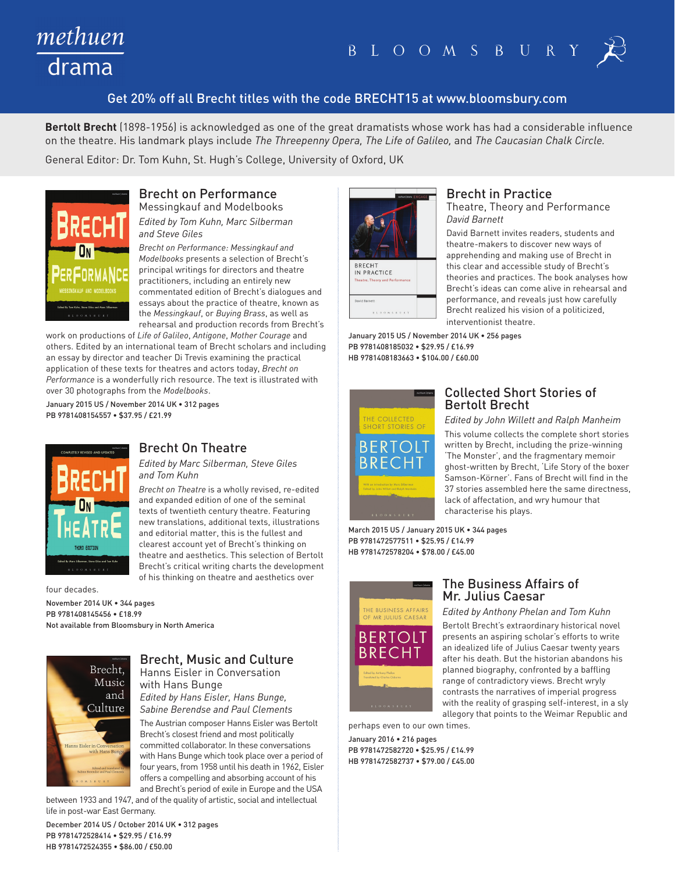# methuen drama

# Get 20% off all Brecht titles with the code BRECHT15 at www.bloomsbury.com

**Bertolt Brecht** (1898-1956) is acknowledged as one of the great dramatists whose work has had a considerable influence on the theatre. His landmark plays include *The Threepenny Opera, The Life of Galileo,* and *The Caucasian Chalk Circle.* 

General Editor: Dr. Tom Kuhn, St. Hugh's College, University of Oxford, UK



Brecht on Performance Messingkauf and Modelbooks *Edited by Tom Kuhn, Marc Silberman and Steve Giles*

*Brecht on Performance: Messingkauf and Modelbooks* presents a selection of Brecht's principal writings for directors and theatre practitioners, including an entirely new commentated edition of Brecht's dialogues and essays about the practice of theatre, known as the *Messingkauf*, or *Buying Brass*, as well as rehearsal and production records from Brecht's

work on productions of *Life of Galileo*, *Antigone*, *Mother Courage* and others. Edited by an international team of Brecht scholars and including an essay by director and teacher Di Trevis examining the practical application of these texts for theatres and actors today, *Brecht on Performance* is a wonderfully rich resource. The text is illustrated with over 30 photographs from the *Modelbooks*.

January 2015 US / November 2014 UK • 312 pages PB 9781408154557 • \$37.95 / £21.99



Brecht On Theatre

*Edited by Marc Silberman, Steve Giles and Tom Kuhn*

*Brecht on Theatre* is a wholly revised, re-edited and expanded edition of one of the seminal texts of twentieth century theatre. Featuring new translations, additional texts, illustrations and editorial matter, this is the fullest and clearest account yet of Brecht's thinking on theatre and aesthetics. This selection of Bertolt Brecht's critical writing charts the development of his thinking on theatre and aesthetics over

four decades.

November 2014 UK • 344 pages PB 9781408145456 • £18.99 Not available from Bloomsbury in North America



## Brecht, Music and Culture Hanns Eisler in Conversation

with Hans Bunge *Edited by Hans Eisler, Hans Bunge, Sabine Berendse and Paul Clements*

The Austrian composer Hanns Eisler was Bertolt Brecht's closest friend and most politically committed collaborator. In these conversations with Hans Bunge which took place over a period of four years, from 1958 until his death in 1962, Eisler offers a compelling and absorbing account of his and Brecht's period of exile in Europe and the USA

between 1933 and 1947, and of the quality of artistic, social and intellectual life in post-war East Germany.

December 2014 US / October 2014 UK • 312 pages PB 9781472528414 • \$29.95 / £16.99 HB 9781472524355 • \$86.00 / £50.00



### Brecht in Practice

Theatre, Theory and Performance *David Barnett*

David Barnett invites readers, students and theatre-makers to discover new ways of apprehending and making use of Brecht in this clear and accessible study of Brecht's theories and practices. The book analyses how Brecht's ideas can come alive in rehearsal and performance, and reveals just how carefully Brecht realized his vision of a politicized, interventionist theatre.

January 2015 US / November 2014 UK • 256 pages PB 9781408185032 • \$29.95 / £16.99 HB 9781408183663 • \$104.00 / £60.00



### Collected Short Stories of Bertolt Brecht

*Edited by John Willett and Ralph Manheim* This volume collects the complete short stories written by Brecht, including the prize-winning 'The Monster', and the fragmentary memoir ghost-written by Brecht, 'Life Story of the boxer Samson-Körner'. Fans of Brecht will find in the 37 stories assembled here the same directness, lack of affectation, and wry humour that characterise his plays.

March 2015 US / January 2015 UK • 344 pages PB 9781472577511 • \$25.95 / £14.99 HB 9781472578204 • \$78.00 / £45.00



### The Business Affairs of Mr. Julius Caesar

*Edited by Anthony Phelan and Tom Kuhn* Bertolt Brecht's extraordinary historical novel presents an aspiring scholar's efforts to write an idealized life of Julius Caesar twenty years after his death. But the historian abandons his planned biography, confronted by a baffling range of contradictory views. Brecht wryly contrasts the narratives of imperial progress with the reality of grasping self-interest, in a sly allegory that points to the Weimar Republic and

perhaps even to our own times. January 2016 • 216 pages PB 9781472582720 • \$25.95 / £14.99 HB 9781472582737 • \$79.00 / £45.00